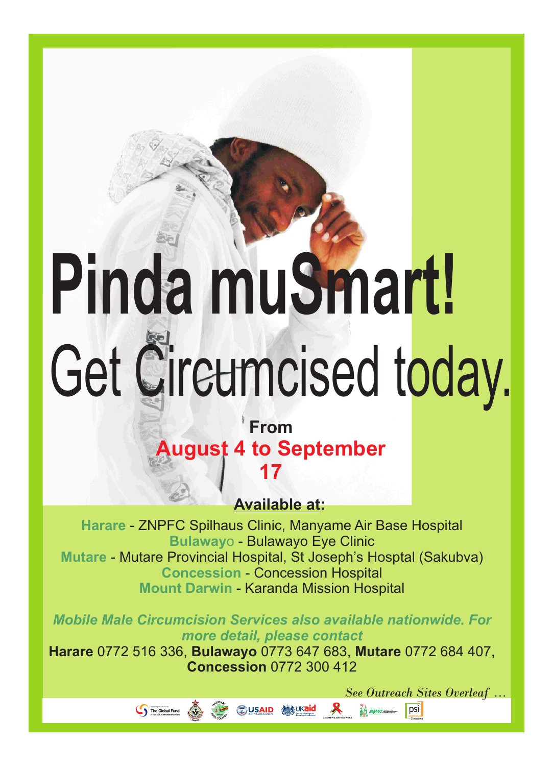## **Pinda muSmart!** Get Circumcised today.

## **From August 4 to September 17**

**Available at:**

**Harare** - ZNPFC Spilhaus Clinic, Manyame Air Base Hospital **Bulaway**o - Bulawayo Eye Clinic **Mutare** - Mutare Provincial Hospital, St Joseph's Hosptal (Sakubva) **Concession** - Concession Hospital **Mount Darwin - Karanda Mission Hospital** 

*Mobile Male Circumcision Services also available nationwide. For more detail, please contact*

**Harare** 0772 516 336, **Bulawayo** 0773 647 683, **Mutare** 0772 684 407, **Concession** 0772 300 412

The Global Fund

**SUSAID SEVING & Research PSI** 

*See Outreach Sites Overleaf ...*